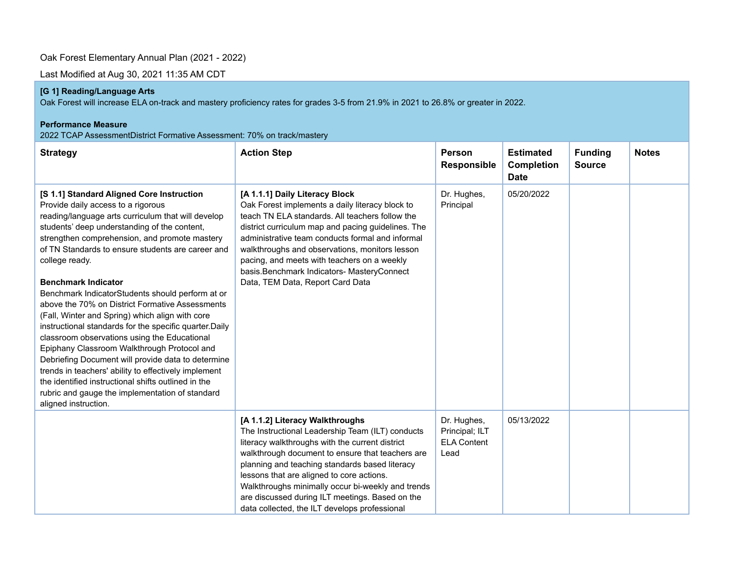## Oak Forest Elementary Annual Plan (2021 - 2022)

Last Modified at Aug 30, 2021 11:35 AM CDT

## **[G 1] Reading/Language Arts**

Oak Forest will increase ELA on-track and mastery proficiency rates for grades 3-5 from 21.9% in 2021 to 26.8% or greater in 2022.

#### **Performance Measure**

2022 TCAP AssessmentDistrict Formative Assessment: 70% on track/mastery

| <b>Strategy</b>                                                                                                                                                                                                                                                                                                                                                                                                                                                                                                                                                                                                                                                                                                                                                                                                                                                                                                 | <b>Action Step</b>                                                                                                                                                                                                                                                                                                                                                                                                                                 | Person<br><b>Responsible</b>                                | <b>Estimated</b><br><b>Completion</b><br><b>Date</b> | <b>Funding</b><br><b>Source</b> | <b>Notes</b> |
|-----------------------------------------------------------------------------------------------------------------------------------------------------------------------------------------------------------------------------------------------------------------------------------------------------------------------------------------------------------------------------------------------------------------------------------------------------------------------------------------------------------------------------------------------------------------------------------------------------------------------------------------------------------------------------------------------------------------------------------------------------------------------------------------------------------------------------------------------------------------------------------------------------------------|----------------------------------------------------------------------------------------------------------------------------------------------------------------------------------------------------------------------------------------------------------------------------------------------------------------------------------------------------------------------------------------------------------------------------------------------------|-------------------------------------------------------------|------------------------------------------------------|---------------------------------|--------------|
| [S 1.1] Standard Aligned Core Instruction<br>Provide daily access to a rigorous<br>reading/language arts curriculum that will develop<br>students' deep understanding of the content,<br>strengthen comprehension, and promote mastery<br>of TN Standards to ensure students are career and<br>college ready.<br><b>Benchmark Indicator</b><br>Benchmark IndicatorStudents should perform at or<br>above the 70% on District Formative Assessments<br>(Fall, Winter and Spring) which align with core<br>instructional standards for the specific quarter. Daily<br>classroom observations using the Educational<br>Epiphany Classroom Walkthrough Protocol and<br>Debriefing Document will provide data to determine<br>trends in teachers' ability to effectively implement<br>the identified instructional shifts outlined in the<br>rubric and gauge the implementation of standard<br>aligned instruction. | [A 1.1.1] Daily Literacy Block<br>Oak Forest implements a daily literacy block to<br>teach TN ELA standards. All teachers follow the<br>district curriculum map and pacing guidelines. The<br>administrative team conducts formal and informal<br>walkthroughs and observations, monitors lesson<br>pacing, and meets with teachers on a weekly<br>basis.Benchmark Indicators- MasteryConnect<br>Data, TEM Data, Report Card Data                  | Dr. Hughes,<br>Principal                                    | 05/20/2022                                           |                                 |              |
|                                                                                                                                                                                                                                                                                                                                                                                                                                                                                                                                                                                                                                                                                                                                                                                                                                                                                                                 | [A 1.1.2] Literacy Walkthroughs<br>The Instructional Leadership Team (ILT) conducts<br>literacy walkthroughs with the current district<br>walkthrough document to ensure that teachers are<br>planning and teaching standards based literacy<br>lessons that are aligned to core actions.<br>Walkthroughs minimally occur bi-weekly and trends<br>are discussed during ILT meetings. Based on the<br>data collected, the ILT develops professional | Dr. Hughes,<br>Principal; ILT<br><b>ELA Content</b><br>Lead | 05/13/2022                                           |                                 |              |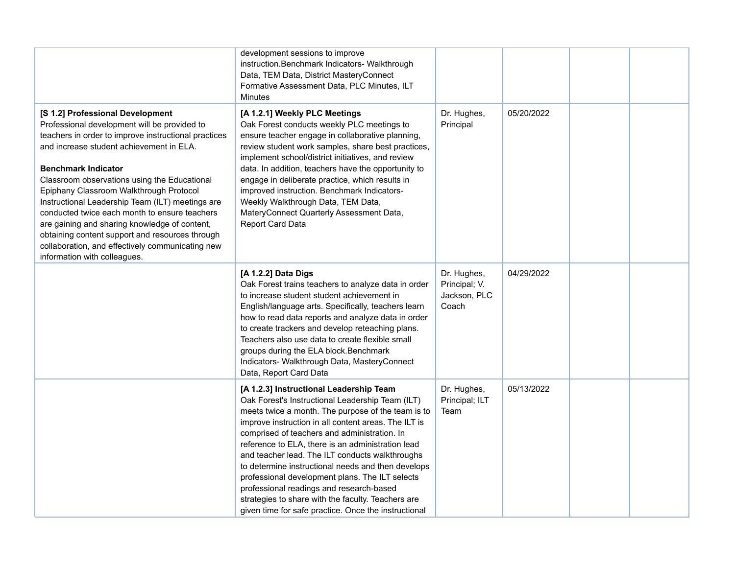|                                                                                                                                                                                                                                                                                                                                                                                                                                                                                                                                                                                                            | development sessions to improve<br>instruction.Benchmark Indicators- Walkthrough<br>Data, TEM Data, District MasteryConnect<br>Formative Assessment Data, PLC Minutes, ILT<br>Minutes                                                                                                                                                                                                                                                                                                                                                                                                                                                |                                                       |            |  |
|------------------------------------------------------------------------------------------------------------------------------------------------------------------------------------------------------------------------------------------------------------------------------------------------------------------------------------------------------------------------------------------------------------------------------------------------------------------------------------------------------------------------------------------------------------------------------------------------------------|--------------------------------------------------------------------------------------------------------------------------------------------------------------------------------------------------------------------------------------------------------------------------------------------------------------------------------------------------------------------------------------------------------------------------------------------------------------------------------------------------------------------------------------------------------------------------------------------------------------------------------------|-------------------------------------------------------|------------|--|
| [S 1.2] Professional Development<br>Professional development will be provided to<br>teachers in order to improve instructional practices<br>and increase student achievement in ELA.<br><b>Benchmark Indicator</b><br>Classroom observations using the Educational<br>Epiphany Classroom Walkthrough Protocol<br>Instructional Leadership Team (ILT) meetings are<br>conducted twice each month to ensure teachers<br>are gaining and sharing knowledge of content,<br>obtaining content support and resources through<br>collaboration, and effectively communicating new<br>information with colleagues. | [A 1.2.1] Weekly PLC Meetings<br>Oak Forest conducts weekly PLC meetings to<br>ensure teacher engage in collaborative planning,<br>review student work samples, share best practices,<br>implement school/district initiatives, and review<br>data. In addition, teachers have the opportunity to<br>engage in deliberate practice, which results in<br>improved instruction. Benchmark Indicators-<br>Weekly Walkthrough Data, TEM Data,<br>MateryConnect Quarterly Assessment Data,<br>Report Card Data                                                                                                                            | Dr. Hughes,<br>Principal                              | 05/20/2022 |  |
|                                                                                                                                                                                                                                                                                                                                                                                                                                                                                                                                                                                                            | [A 1.2.2] Data Digs<br>Oak Forest trains teachers to analyze data in order<br>to increase student student achievement in<br>English/language arts. Specifically, teachers learn<br>how to read data reports and analyze data in order<br>to create trackers and develop reteaching plans.<br>Teachers also use data to create flexible small<br>groups during the ELA block. Benchmark<br>Indicators- Walkthrough Data, MasteryConnect<br>Data, Report Card Data                                                                                                                                                                     | Dr. Hughes,<br>Principal; V.<br>Jackson, PLC<br>Coach | 04/29/2022 |  |
|                                                                                                                                                                                                                                                                                                                                                                                                                                                                                                                                                                                                            | [A 1.2.3] Instructional Leadership Team<br>Oak Forest's Instructional Leadership Team (ILT)<br>meets twice a month. The purpose of the team is to<br>improve instruction in all content areas. The ILT is<br>comprised of teachers and administration. In<br>reference to ELA, there is an administration lead<br>and teacher lead. The ILT conducts walkthroughs<br>to determine instructional needs and then develops<br>professional development plans. The ILT selects<br>professional readings and research-based<br>strategies to share with the faculty. Teachers are<br>given time for safe practice. Once the instructional | Dr. Hughes,<br>Principal; ILT<br>Team                 | 05/13/2022 |  |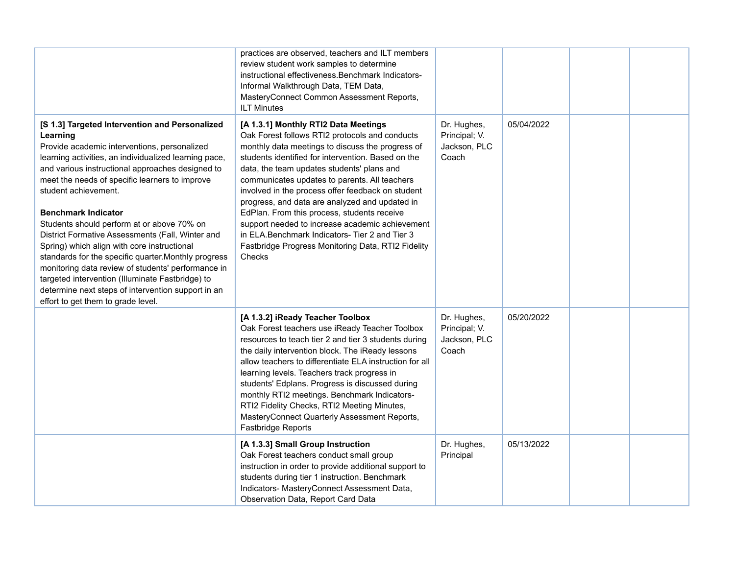|                                                                                                                                                                                                                                                                                                                                                                                                                                                                                                                                                                                                                                                                                                                                                | practices are observed, teachers and ILT members<br>review student work samples to determine<br>instructional effectiveness. Benchmark Indicators-<br>Informal Walkthrough Data, TEM Data,<br>MasteryConnect Common Assessment Reports,<br><b>ILT Minutes</b>                                                                                                                                                                                                                                                                                                                                                                     |                                                       |            |  |
|------------------------------------------------------------------------------------------------------------------------------------------------------------------------------------------------------------------------------------------------------------------------------------------------------------------------------------------------------------------------------------------------------------------------------------------------------------------------------------------------------------------------------------------------------------------------------------------------------------------------------------------------------------------------------------------------------------------------------------------------|-----------------------------------------------------------------------------------------------------------------------------------------------------------------------------------------------------------------------------------------------------------------------------------------------------------------------------------------------------------------------------------------------------------------------------------------------------------------------------------------------------------------------------------------------------------------------------------------------------------------------------------|-------------------------------------------------------|------------|--|
| [S 1.3] Targeted Intervention and Personalized<br>Learning<br>Provide academic interventions, personalized<br>learning activities, an individualized learning pace,<br>and various instructional approaches designed to<br>meet the needs of specific learners to improve<br>student achievement.<br><b>Benchmark Indicator</b><br>Students should perform at or above 70% on<br>District Formative Assessments (Fall, Winter and<br>Spring) which align with core instructional<br>standards for the specific quarter. Monthly progress<br>monitoring data review of students' performance in<br>targeted intervention (Illuminate Fastbridge) to<br>determine next steps of intervention support in an<br>effort to get them to grade level. | [A 1.3.1] Monthly RTI2 Data Meetings<br>Oak Forest follows RTI2 protocols and conducts<br>monthly data meetings to discuss the progress of<br>students identified for intervention. Based on the<br>data, the team updates students' plans and<br>communicates updates to parents. All teachers<br>involved in the process offer feedback on student<br>progress, and data are analyzed and updated in<br>EdPlan. From this process, students receive<br>support needed to increase academic achievement<br>in ELA.Benchmark Indicators- Tier 2 and Tier 3<br>Fastbridge Progress Monitoring Data, RTI2 Fidelity<br><b>Checks</b> | Dr. Hughes,<br>Principal; V.<br>Jackson, PLC<br>Coach | 05/04/2022 |  |
|                                                                                                                                                                                                                                                                                                                                                                                                                                                                                                                                                                                                                                                                                                                                                | [A 1.3.2] iReady Teacher Toolbox<br>Oak Forest teachers use iReady Teacher Toolbox<br>resources to teach tier 2 and tier 3 students during<br>the daily intervention block. The iReady lessons<br>allow teachers to differentiate ELA instruction for all<br>learning levels. Teachers track progress in<br>students' Edplans. Progress is discussed during<br>monthly RTI2 meetings. Benchmark Indicators-<br>RTI2 Fidelity Checks, RTI2 Meeting Minutes,<br>MasteryConnect Quarterly Assessment Reports,<br>Fastbridge Reports                                                                                                  | Dr. Hughes,<br>Principal; V.<br>Jackson, PLC<br>Coach | 05/20/2022 |  |
|                                                                                                                                                                                                                                                                                                                                                                                                                                                                                                                                                                                                                                                                                                                                                | [A 1.3.3] Small Group Instruction<br>Oak Forest teachers conduct small group<br>instruction in order to provide additional support to<br>students during tier 1 instruction. Benchmark<br>Indicators- MasteryConnect Assessment Data,<br>Observation Data, Report Card Data                                                                                                                                                                                                                                                                                                                                                       | Dr. Hughes,<br>Principal                              | 05/13/2022 |  |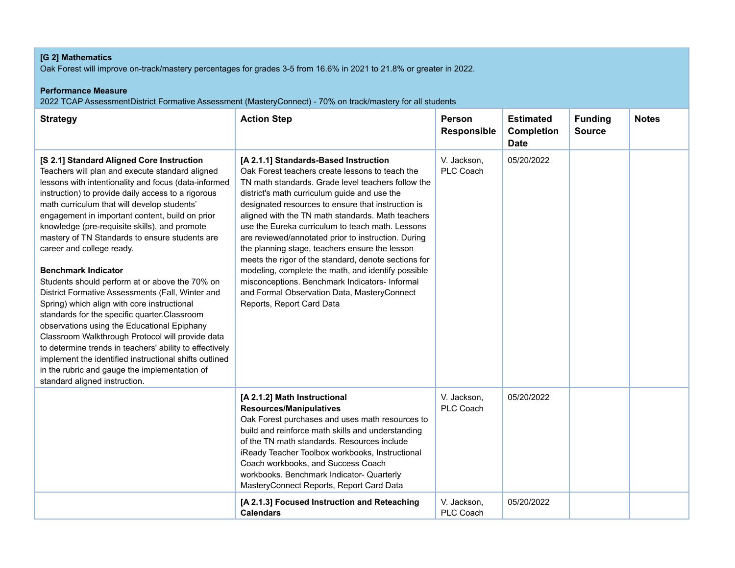# **[G 2] Mathematics**

Oak Forest will improve on-track/mastery percentages for grades 3-5 from 16.6% in 2021 to 21.8% or greater in 2022.

### **Performance Measure**

2022 TCAP AssessmentDistrict Formative Assessment (MasteryConnect) - 70% on track/mastery for all students

| <b>Strategy</b>                                                                                                                                                                                                                                                                                                                                                                                                                                                                                                                                                                                                                                                                                                                                                                                                                                                                                                                                                                           | <b>Action Step</b>                                                                                                                                                                                                                                                                                                                                                                                                                                                                                                                                                                                                                                                                                                 | Person<br><b>Responsible</b> | <b>Estimated</b><br><b>Completion</b><br><b>Date</b> | <b>Funding</b><br><b>Source</b> | <b>Notes</b> |
|-------------------------------------------------------------------------------------------------------------------------------------------------------------------------------------------------------------------------------------------------------------------------------------------------------------------------------------------------------------------------------------------------------------------------------------------------------------------------------------------------------------------------------------------------------------------------------------------------------------------------------------------------------------------------------------------------------------------------------------------------------------------------------------------------------------------------------------------------------------------------------------------------------------------------------------------------------------------------------------------|--------------------------------------------------------------------------------------------------------------------------------------------------------------------------------------------------------------------------------------------------------------------------------------------------------------------------------------------------------------------------------------------------------------------------------------------------------------------------------------------------------------------------------------------------------------------------------------------------------------------------------------------------------------------------------------------------------------------|------------------------------|------------------------------------------------------|---------------------------------|--------------|
| [S 2.1] Standard Aligned Core Instruction<br>Teachers will plan and execute standard aligned<br>lessons with intentionality and focus (data-informed<br>instruction) to provide daily access to a rigorous<br>math curriculum that will develop students'<br>engagement in important content, build on prior<br>knowledge (pre-requisite skills), and promote<br>mastery of TN Standards to ensure students are<br>career and college ready.<br><b>Benchmark Indicator</b><br>Students should perform at or above the 70% on<br>District Formative Assessments (Fall, Winter and<br>Spring) which align with core instructional<br>standards for the specific quarter.Classroom<br>observations using the Educational Epiphany<br>Classroom Walkthrough Protocol will provide data<br>to determine trends in teachers' ability to effectively<br>implement the identified instructional shifts outlined<br>in the rubric and gauge the implementation of<br>standard aligned instruction. | [A 2.1.1] Standards-Based Instruction<br>Oak Forest teachers create lessons to teach the<br>TN math standards. Grade level teachers follow the<br>district's math curriculum guide and use the<br>designated resources to ensure that instruction is<br>aligned with the TN math standards. Math teachers<br>use the Eureka curriculum to teach math. Lessons<br>are reviewed/annotated prior to instruction. During<br>the planning stage, teachers ensure the lesson<br>meets the rigor of the standard, denote sections for<br>modeling, complete the math, and identify possible<br>misconceptions. Benchmark Indicators- Informal<br>and Formal Observation Data, MasteryConnect<br>Reports, Report Card Data | V. Jackson,<br>PLC Coach     | 05/20/2022                                           |                                 |              |
|                                                                                                                                                                                                                                                                                                                                                                                                                                                                                                                                                                                                                                                                                                                                                                                                                                                                                                                                                                                           | [A 2.1.2] Math Instructional<br><b>Resources/Manipulatives</b><br>Oak Forest purchases and uses math resources to<br>build and reinforce math skills and understanding<br>of the TN math standards. Resources include<br>iReady Teacher Toolbox workbooks, Instructional<br>Coach workbooks, and Success Coach<br>workbooks. Benchmark Indicator- Quarterly<br>MasteryConnect Reports, Report Card Data                                                                                                                                                                                                                                                                                                            | V. Jackson,<br>PLC Coach     | 05/20/2022                                           |                                 |              |
|                                                                                                                                                                                                                                                                                                                                                                                                                                                                                                                                                                                                                                                                                                                                                                                                                                                                                                                                                                                           | [A 2.1.3] Focused Instruction and Reteaching<br><b>Calendars</b>                                                                                                                                                                                                                                                                                                                                                                                                                                                                                                                                                                                                                                                   | V. Jackson,<br>PLC Coach     | 05/20/2022                                           |                                 |              |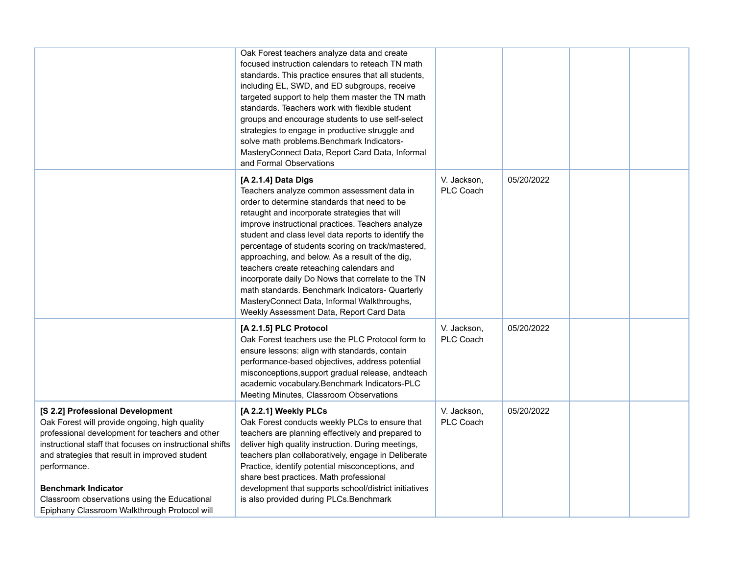|                                                                                                                                                                                                                                                                                                                                                                                                  | Oak Forest teachers analyze data and create<br>focused instruction calendars to reteach TN math<br>standards. This practice ensures that all students,<br>including EL, SWD, and ED subgroups, receive<br>targeted support to help them master the TN math<br>standards. Teachers work with flexible student<br>groups and encourage students to use self-select<br>strategies to engage in productive struggle and<br>solve math problems. Benchmark Indicators-<br>MasteryConnect Data, Report Card Data, Informal<br>and Formal Observations                                                                                         |                          |            |  |
|--------------------------------------------------------------------------------------------------------------------------------------------------------------------------------------------------------------------------------------------------------------------------------------------------------------------------------------------------------------------------------------------------|-----------------------------------------------------------------------------------------------------------------------------------------------------------------------------------------------------------------------------------------------------------------------------------------------------------------------------------------------------------------------------------------------------------------------------------------------------------------------------------------------------------------------------------------------------------------------------------------------------------------------------------------|--------------------------|------------|--|
|                                                                                                                                                                                                                                                                                                                                                                                                  | [A 2.1.4] Data Digs<br>Teachers analyze common assessment data in<br>order to determine standards that need to be<br>retaught and incorporate strategies that will<br>improve instructional practices. Teachers analyze<br>student and class level data reports to identify the<br>percentage of students scoring on track/mastered,<br>approaching, and below. As a result of the dig,<br>teachers create reteaching calendars and<br>incorporate daily Do Nows that correlate to the TN<br>math standards. Benchmark Indicators- Quarterly<br>MasteryConnect Data, Informal Walkthroughs,<br>Weekly Assessment Data, Report Card Data | V. Jackson,<br>PLC Coach | 05/20/2022 |  |
|                                                                                                                                                                                                                                                                                                                                                                                                  | [A 2.1.5] PLC Protocol<br>Oak Forest teachers use the PLC Protocol form to<br>ensure lessons: align with standards, contain<br>performance-based objectives, address potential<br>misconceptions, support gradual release, andteach<br>academic vocabulary.Benchmark Indicators-PLC<br>Meeting Minutes, Classroom Observations                                                                                                                                                                                                                                                                                                          | V. Jackson,<br>PLC Coach | 05/20/2022 |  |
| [S 2.2] Professional Development<br>Oak Forest will provide ongoing, high quality<br>professional development for teachers and other<br>instructional staff that focuses on instructional shifts<br>and strategies that result in improved student<br>performance.<br><b>Benchmark Indicator</b><br>Classroom observations using the Educational<br>Epiphany Classroom Walkthrough Protocol will | [A 2.2.1] Weekly PLCs<br>Oak Forest conducts weekly PLCs to ensure that<br>teachers are planning effectively and prepared to<br>deliver high quality instruction. During meetings,<br>teachers plan collaboratively, engage in Deliberate<br>Practice, identify potential misconceptions, and<br>share best practices. Math professional<br>development that supports school/district initiatives<br>is also provided during PLCs. Benchmark                                                                                                                                                                                            | V. Jackson,<br>PLC Coach | 05/20/2022 |  |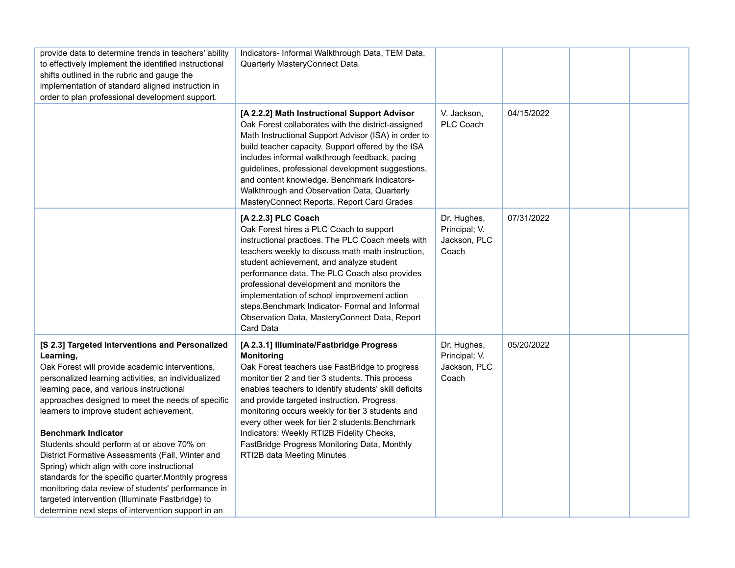| provide data to determine trends in teachers' ability<br>to effectively implement the identified instructional<br>shifts outlined in the rubric and gauge the<br>implementation of standard aligned instruction in<br>order to plan professional development support.                                                                                                                                                                                                                                                                                                                                                                                                                                                      | Indicators- Informal Walkthrough Data, TEM Data,<br>Quarterly MasteryConnect Data                                                                                                                                                                                                                                                                                                                                                                                                                            |                                                       |            |  |
|----------------------------------------------------------------------------------------------------------------------------------------------------------------------------------------------------------------------------------------------------------------------------------------------------------------------------------------------------------------------------------------------------------------------------------------------------------------------------------------------------------------------------------------------------------------------------------------------------------------------------------------------------------------------------------------------------------------------------|--------------------------------------------------------------------------------------------------------------------------------------------------------------------------------------------------------------------------------------------------------------------------------------------------------------------------------------------------------------------------------------------------------------------------------------------------------------------------------------------------------------|-------------------------------------------------------|------------|--|
|                                                                                                                                                                                                                                                                                                                                                                                                                                                                                                                                                                                                                                                                                                                            | [A 2.2.2] Math Instructional Support Advisor<br>Oak Forest collaborates with the district-assigned<br>Math Instructional Support Advisor (ISA) in order to<br>build teacher capacity. Support offered by the ISA<br>includes informal walkthrough feedback, pacing<br>guidelines, professional development suggestions,<br>and content knowledge. Benchmark Indicators-<br>Walkthrough and Observation Data, Quarterly<br>MasteryConnect Reports, Report Card Grades                                         | V. Jackson,<br>PLC Coach                              | 04/15/2022 |  |
|                                                                                                                                                                                                                                                                                                                                                                                                                                                                                                                                                                                                                                                                                                                            | [A 2.2.3] PLC Coach<br>Oak Forest hires a PLC Coach to support<br>instructional practices. The PLC Coach meets with<br>teachers weekly to discuss math math instruction,<br>student achievement, and analyze student<br>performance data. The PLC Coach also provides<br>professional development and monitors the<br>implementation of school improvement action<br>steps.Benchmark Indicator- Formal and Informal<br>Observation Data, MasteryConnect Data, Report<br>Card Data                            | Dr. Hughes,<br>Principal; V.<br>Jackson, PLC<br>Coach | 07/31/2022 |  |
| [S 2.3] Targeted Interventions and Personalized<br>Learning,<br>Oak Forest will provide academic interventions,<br>personalized learning activities, an individualized<br>learning pace, and various instructional<br>approaches designed to meet the needs of specific<br>learners to improve student achievement.<br><b>Benchmark Indicator</b><br>Students should perform at or above 70% on<br>District Formative Assessments (Fall, Winter and<br>Spring) which align with core instructional<br>standards for the specific quarter. Monthly progress<br>monitoring data review of students' performance in<br>targeted intervention (Illuminate Fastbridge) to<br>determine next steps of intervention support in an | [A 2.3.1] Illuminate/Fastbridge Progress<br><b>Monitoring</b><br>Oak Forest teachers use FastBridge to progress<br>monitor tier 2 and tier 3 students. This process<br>enables teachers to identify students' skill deficits<br>and provide targeted instruction. Progress<br>monitoring occurs weekly for tier 3 students and<br>every other week for tier 2 students. Benchmark<br>Indicators: Weekly RTI2B Fidelity Checks,<br>FastBridge Progress Monitoring Data, Monthly<br>RTI2B data Meeting Minutes | Dr. Hughes,<br>Principal; V.<br>Jackson, PLC<br>Coach | 05/20/2022 |  |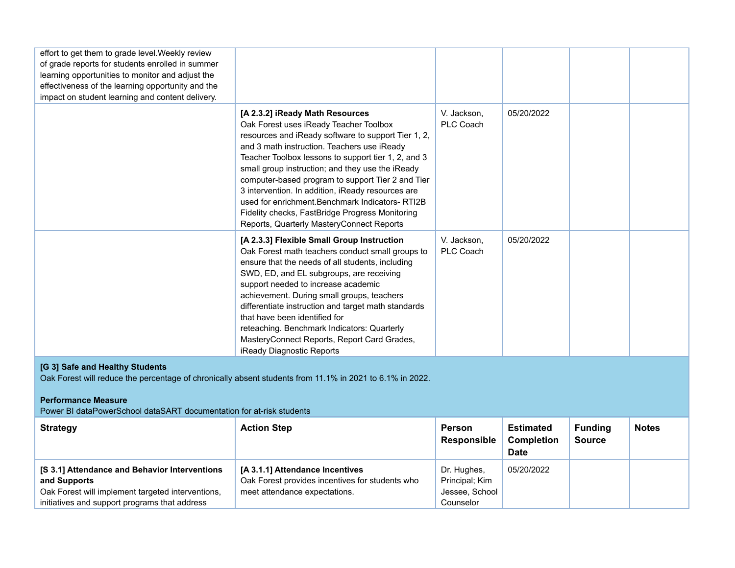| effort to get them to grade level. Weekly review<br>of grade reports for students enrolled in summer<br>learning opportunities to monitor and adjust the<br>effectiveness of the learning opportunity and the<br>impact on student learning and content delivery. |                                                                                                                                                                                                                                                                                                                                                                                                                                                                                                                                                         |                                     |                                                      |                                 |              |  |  |  |  |  |
|-------------------------------------------------------------------------------------------------------------------------------------------------------------------------------------------------------------------------------------------------------------------|---------------------------------------------------------------------------------------------------------------------------------------------------------------------------------------------------------------------------------------------------------------------------------------------------------------------------------------------------------------------------------------------------------------------------------------------------------------------------------------------------------------------------------------------------------|-------------------------------------|------------------------------------------------------|---------------------------------|--------------|--|--|--|--|--|
|                                                                                                                                                                                                                                                                   | [A 2.3.2] iReady Math Resources<br>Oak Forest uses iReady Teacher Toolbox<br>resources and iReady software to support Tier 1, 2,<br>and 3 math instruction. Teachers use iReady<br>Teacher Toolbox lessons to support tier 1, 2, and 3<br>small group instruction; and they use the iReady<br>computer-based program to support Tier 2 and Tier<br>3 intervention. In addition, iReady resources are<br>used for enrichment. Benchmark Indicators-RTI2B<br>Fidelity checks, FastBridge Progress Monitoring<br>Reports, Quarterly MasteryConnect Reports | V. Jackson,<br>PLC Coach            | 05/20/2022                                           |                                 |              |  |  |  |  |  |
|                                                                                                                                                                                                                                                                   | [A 2.3.3] Flexible Small Group Instruction<br>Oak Forest math teachers conduct small groups to<br>ensure that the needs of all students, including<br>SWD, ED, and EL subgroups, are receiving<br>support needed to increase academic<br>achievement. During small groups, teachers<br>differentiate instruction and target math standards<br>that have been identified for<br>reteaching. Benchmark Indicators: Quarterly<br>MasteryConnect Reports, Report Card Grades,<br>iReady Diagnostic Reports                                                  | V. Jackson,<br>PLC Coach            | 05/20/2022                                           |                                 |              |  |  |  |  |  |
| [G 3] Safe and Healthy Students<br>Oak Forest will reduce the percentage of chronically absent students from 11.1% in 2021 to 6.1% in 2022.<br><b>Performance Measure</b>                                                                                         |                                                                                                                                                                                                                                                                                                                                                                                                                                                                                                                                                         |                                     |                                                      |                                 |              |  |  |  |  |  |
| Power BI dataPowerSchool dataSART documentation for at-risk students<br><b>Strategy</b>                                                                                                                                                                           | <b>Action Step</b>                                                                                                                                                                                                                                                                                                                                                                                                                                                                                                                                      | <b>Person</b><br><b>Responsible</b> | <b>Estimated</b><br><b>Completion</b><br><b>Date</b> | <b>Funding</b><br><b>Source</b> | <b>Notes</b> |  |  |  |  |  |
| [S 3.1] Attendance and Behavior Interventions<br>and Supports                                                                                                                                                                                                     | [A 3.1.1] Attendance Incentives<br>Oak Forest provides incentives for students who                                                                                                                                                                                                                                                                                                                                                                                                                                                                      | Dr. Hughes,<br>Principal; Kim       | 05/20/2022                                           |                                 |              |  |  |  |  |  |

Jessee, School Counselor

meet attendance expectations.

Oak Forest will implement targeted interventions, initiatives and support programs that address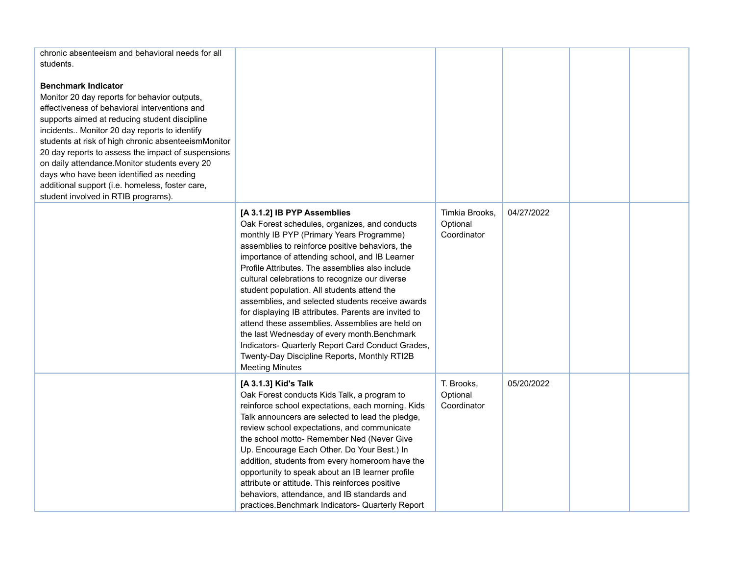| chronic absenteeism and behavioral needs for all<br>students.<br><b>Benchmark Indicator</b><br>Monitor 20 day reports for behavior outputs,<br>effectiveness of behavioral interventions and<br>supports aimed at reducing student discipline<br>incidents Monitor 20 day reports to identify<br>students at risk of high chronic absenteeismMonitor<br>20 day reports to assess the impact of suspensions<br>on daily attendance. Monitor students every 20<br>days who have been identified as needing<br>additional support (i.e. homeless, foster care,<br>student involved in RTIB programs). |                                                                                                                                                                                                                                                                                                                                                                                                                                                                                                                                                                                                                                                                                                                                 |                                           |            |  |
|----------------------------------------------------------------------------------------------------------------------------------------------------------------------------------------------------------------------------------------------------------------------------------------------------------------------------------------------------------------------------------------------------------------------------------------------------------------------------------------------------------------------------------------------------------------------------------------------------|---------------------------------------------------------------------------------------------------------------------------------------------------------------------------------------------------------------------------------------------------------------------------------------------------------------------------------------------------------------------------------------------------------------------------------------------------------------------------------------------------------------------------------------------------------------------------------------------------------------------------------------------------------------------------------------------------------------------------------|-------------------------------------------|------------|--|
|                                                                                                                                                                                                                                                                                                                                                                                                                                                                                                                                                                                                    | [A 3.1.2] IB PYP Assemblies<br>Oak Forest schedules, organizes, and conducts<br>monthly IB PYP (Primary Years Programme)<br>assemblies to reinforce positive behaviors, the<br>importance of attending school, and IB Learner<br>Profile Attributes. The assemblies also include<br>cultural celebrations to recognize our diverse<br>student population. All students attend the<br>assemblies, and selected students receive awards<br>for displaying IB attributes. Parents are invited to<br>attend these assemblies. Assemblies are held on<br>the last Wednesday of every month. Benchmark<br>Indicators- Quarterly Report Card Conduct Grades,<br>Twenty-Day Discipline Reports, Monthly RTI2B<br><b>Meeting Minutes</b> | Timkia Brooks,<br>Optional<br>Coordinator | 04/27/2022 |  |
|                                                                                                                                                                                                                                                                                                                                                                                                                                                                                                                                                                                                    | [A 3.1.3] Kid's Talk<br>Oak Forest conducts Kids Talk, a program to<br>reinforce school expectations, each morning. Kids<br>Talk announcers are selected to lead the pledge,<br>review school expectations, and communicate<br>the school motto- Remember Ned (Never Give<br>Up. Encourage Each Other. Do Your Best.) In<br>addition, students from every homeroom have the<br>opportunity to speak about an IB learner profile<br>attribute or attitude. This reinforces positive<br>behaviors, attendance, and IB standards and<br>practices. Benchmark Indicators- Quarterly Report                                                                                                                                          | T. Brooks,<br>Optional<br>Coordinator     | 05/20/2022 |  |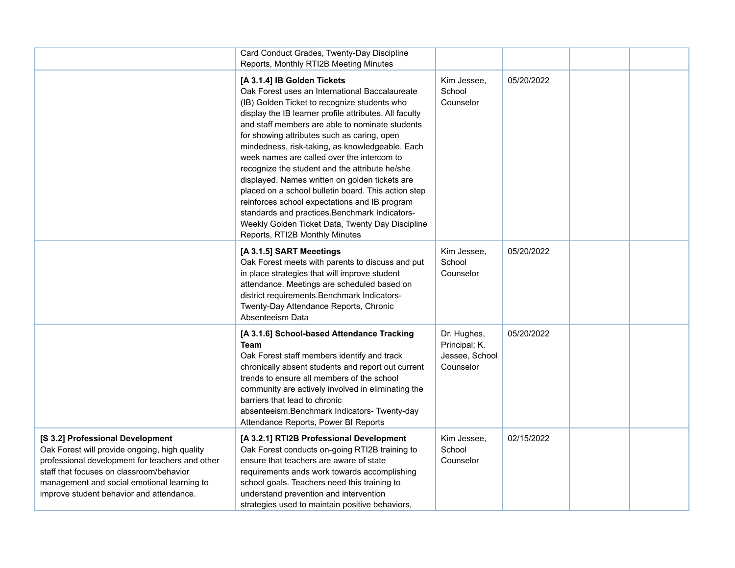|                                                                                                                                                                                                                                                                             | Card Conduct Grades, Twenty-Day Discipline<br>Reports, Monthly RTI2B Meeting Minutes                                                                                                                                                                                                                                                                                                                                                                                                                                                                                                                                                                                                                                                           |                                                             |            |  |
|-----------------------------------------------------------------------------------------------------------------------------------------------------------------------------------------------------------------------------------------------------------------------------|------------------------------------------------------------------------------------------------------------------------------------------------------------------------------------------------------------------------------------------------------------------------------------------------------------------------------------------------------------------------------------------------------------------------------------------------------------------------------------------------------------------------------------------------------------------------------------------------------------------------------------------------------------------------------------------------------------------------------------------------|-------------------------------------------------------------|------------|--|
|                                                                                                                                                                                                                                                                             | [A 3.1.4] IB Golden Tickets<br>Oak Forest uses an International Baccalaureate<br>(IB) Golden Ticket to recognize students who<br>display the IB learner profile attributes. All faculty<br>and staff members are able to nominate students<br>for showing attributes such as caring, open<br>mindedness, risk-taking, as knowledgeable. Each<br>week names are called over the intercom to<br>recognize the student and the attribute he/she<br>displayed. Names written on golden tickets are<br>placed on a school bulletin board. This action step<br>reinforces school expectations and IB program<br>standards and practices. Benchmark Indicators-<br>Weekly Golden Ticket Data, Twenty Day Discipline<br>Reports, RTI2B Monthly Minutes | Kim Jessee,<br>School<br>Counselor                          | 05/20/2022 |  |
|                                                                                                                                                                                                                                                                             | [A 3.1.5] SART Meeetings<br>Oak Forest meets with parents to discuss and put<br>in place strategies that will improve student<br>attendance. Meetings are scheduled based on<br>district requirements. Benchmark Indicators-<br>Twenty-Day Attendance Reports, Chronic<br>Absenteeism Data                                                                                                                                                                                                                                                                                                                                                                                                                                                     | Kim Jessee,<br>School<br>Counselor                          | 05/20/2022 |  |
|                                                                                                                                                                                                                                                                             | [A 3.1.6] School-based Attendance Tracking<br><b>Team</b><br>Oak Forest staff members identify and track<br>chronically absent students and report out current<br>trends to ensure all members of the school<br>community are actively involved in eliminating the<br>barriers that lead to chronic<br>absenteeism.Benchmark Indicators- Twenty-day<br>Attendance Reports, Power BI Reports                                                                                                                                                                                                                                                                                                                                                    | Dr. Hughes,<br>Principal; K.<br>Jessee, School<br>Counselor | 05/20/2022 |  |
| [S 3.2] Professional Development<br>Oak Forest will provide ongoing, high quality<br>professional development for teachers and other<br>staff that focuses on classroom/behavior<br>management and social emotional learning to<br>improve student behavior and attendance. | [A 3.2.1] RTI2B Professional Development<br>Oak Forest conducts on-going RTI2B training to<br>ensure that teachers are aware of state<br>requirements ands work towards accomplishing<br>school goals. Teachers need this training to<br>understand prevention and intervention<br>strategies used to maintain positive behaviors,                                                                                                                                                                                                                                                                                                                                                                                                             | Kim Jessee,<br>School<br>Counselor                          | 02/15/2022 |  |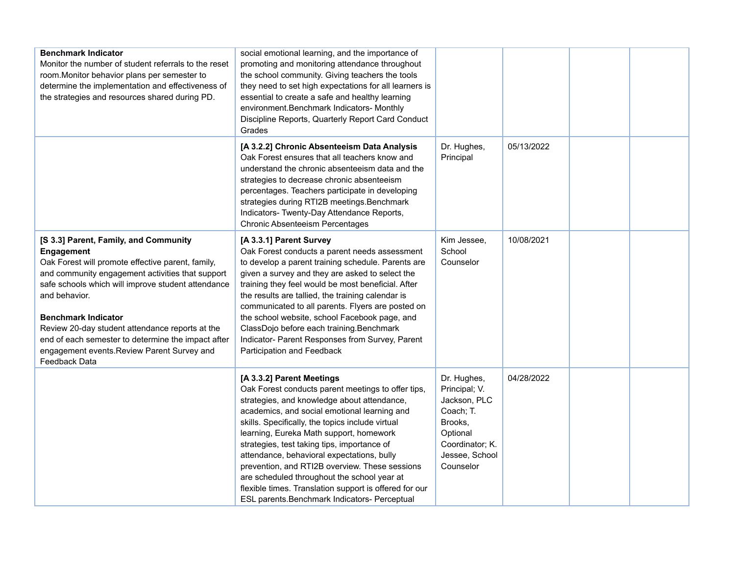| <b>Benchmark Indicator</b><br>Monitor the number of student referrals to the reset<br>room. Monitor behavior plans per semester to<br>determine the implementation and effectiveness of<br>the strategies and resources shared during PD.                                                                                                                                                                                                  | social emotional learning, and the importance of<br>promoting and monitoring attendance throughout<br>the school community. Giving teachers the tools<br>they need to set high expectations for all learners is<br>essential to create a safe and healthy learning<br>environment.Benchmark Indicators- Monthly<br>Discipline Reports, Quarterly Report Card Conduct<br>Grades                                                                                                                                                                                                        |                                                                                                                                    |            |  |
|--------------------------------------------------------------------------------------------------------------------------------------------------------------------------------------------------------------------------------------------------------------------------------------------------------------------------------------------------------------------------------------------------------------------------------------------|---------------------------------------------------------------------------------------------------------------------------------------------------------------------------------------------------------------------------------------------------------------------------------------------------------------------------------------------------------------------------------------------------------------------------------------------------------------------------------------------------------------------------------------------------------------------------------------|------------------------------------------------------------------------------------------------------------------------------------|------------|--|
|                                                                                                                                                                                                                                                                                                                                                                                                                                            | [A 3.2.2] Chronic Absenteeism Data Analysis<br>Oak Forest ensures that all teachers know and<br>understand the chronic absenteeism data and the<br>strategies to decrease chronic absenteeism<br>percentages. Teachers participate in developing<br>strategies during RTI2B meetings. Benchmark<br>Indicators- Twenty-Day Attendance Reports,<br><b>Chronic Absenteeism Percentages</b>                                                                                                                                                                                               | Dr. Hughes,<br>Principal                                                                                                           | 05/13/2022 |  |
| [S 3.3] Parent, Family, and Community<br>Engagement<br>Oak Forest will promote effective parent, family,<br>and community engagement activities that support<br>safe schools which will improve student attendance<br>and behavior.<br><b>Benchmark Indicator</b><br>Review 20-day student attendance reports at the<br>end of each semester to determine the impact after<br>engagement events. Review Parent Survey and<br>Feedback Data | [A 3.3.1] Parent Survey<br>Oak Forest conducts a parent needs assessment<br>to develop a parent training schedule. Parents are<br>given a survey and they are asked to select the<br>training they feel would be most beneficial. After<br>the results are tallied, the training calendar is<br>communicated to all parents. Flyers are posted on<br>the school website, school Facebook page, and<br>ClassDojo before each training.Benchmark<br>Indicator- Parent Responses from Survey, Parent<br>Participation and Feedback                                                       | Kim Jessee,<br>School<br>Counselor                                                                                                 | 10/08/2021 |  |
|                                                                                                                                                                                                                                                                                                                                                                                                                                            | [A 3.3.2] Parent Meetings<br>Oak Forest conducts parent meetings to offer tips,<br>strategies, and knowledge about attendance,<br>academics, and social emotional learning and<br>skills. Specifically, the topics include virtual<br>learning, Eureka Math support, homework<br>strategies, test taking tips, importance of<br>attendance, behavioral expectations, bully<br>prevention, and RTI2B overview. These sessions<br>are scheduled throughout the school year at<br>flexible times. Translation support is offered for our<br>ESL parents.Benchmark Indicators- Perceptual | Dr. Hughes,<br>Principal; V.<br>Jackson, PLC<br>Coach; T.<br>Brooks,<br>Optional<br>Coordinator; K.<br>Jessee, School<br>Counselor | 04/28/2022 |  |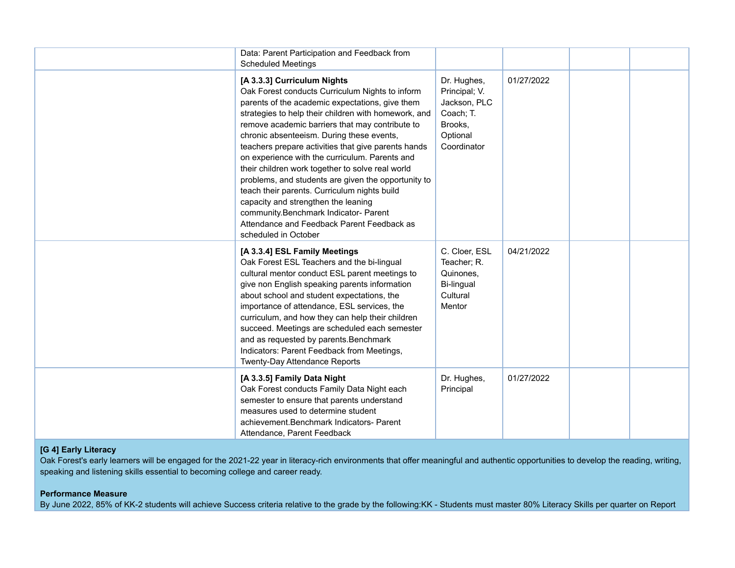| Data: Parent Participation and Feedback from<br><b>Scheduled Meetings</b>                                                                                                                                                                                                                                                                                                                                                                                                                                                                                                                                                                                                                                           |                                                                                                 |            |  |
|---------------------------------------------------------------------------------------------------------------------------------------------------------------------------------------------------------------------------------------------------------------------------------------------------------------------------------------------------------------------------------------------------------------------------------------------------------------------------------------------------------------------------------------------------------------------------------------------------------------------------------------------------------------------------------------------------------------------|-------------------------------------------------------------------------------------------------|------------|--|
| [A 3.3.3] Curriculum Nights<br>Oak Forest conducts Curriculum Nights to inform<br>parents of the academic expectations, give them<br>strategies to help their children with homework, and<br>remove academic barriers that may contribute to<br>chronic absenteeism. During these events,<br>teachers prepare activities that give parents hands<br>on experience with the curriculum. Parents and<br>their children work together to solve real world<br>problems, and students are given the opportunity to<br>teach their parents. Curriculum nights build<br>capacity and strengthen the leaning<br>community.Benchmark Indicator- Parent<br>Attendance and Feedback Parent Feedback as<br>scheduled in October | Dr. Hughes,<br>Principal; V.<br>Jackson, PLC<br>Coach; T.<br>Brooks,<br>Optional<br>Coordinator | 01/27/2022 |  |
| [A 3.3.4] ESL Family Meetings<br>Oak Forest ESL Teachers and the bi-lingual<br>cultural mentor conduct ESL parent meetings to<br>give non English speaking parents information<br>about school and student expectations, the<br>importance of attendance, ESL services, the<br>curriculum, and how they can help their children<br>succeed. Meetings are scheduled each semester<br>and as requested by parents. Benchmark<br>Indicators: Parent Feedback from Meetings,<br>Twenty-Day Attendance Reports                                                                                                                                                                                                           | C. Cloer, ESL<br>Teacher; R.<br>Quinones,<br>Bi-lingual<br>Cultural<br>Mentor                   | 04/21/2022 |  |
| [A 3.3.5] Family Data Night<br>Oak Forest conducts Family Data Night each<br>semester to ensure that parents understand<br>measures used to determine student<br>achievement.Benchmark Indicators- Parent<br>Attendance, Parent Feedback                                                                                                                                                                                                                                                                                                                                                                                                                                                                            | Dr. Hughes,<br>Principal                                                                        | 01/27/2022 |  |

### **[G 4] Early Literacy**

Oak Forest's early learners will be engaged for the 2021-22 year in literacy-rich environments that offer meaningful and authentic opportunities to develop the reading, writing, speaking and listening skills essential to becoming college and career ready.

### **Performance Measure**

By June 2022, 85% of KK-2 students will achieve Success criteria relative to the grade by the following:KK - Students must master 80% Literacy Skills per quarter on Report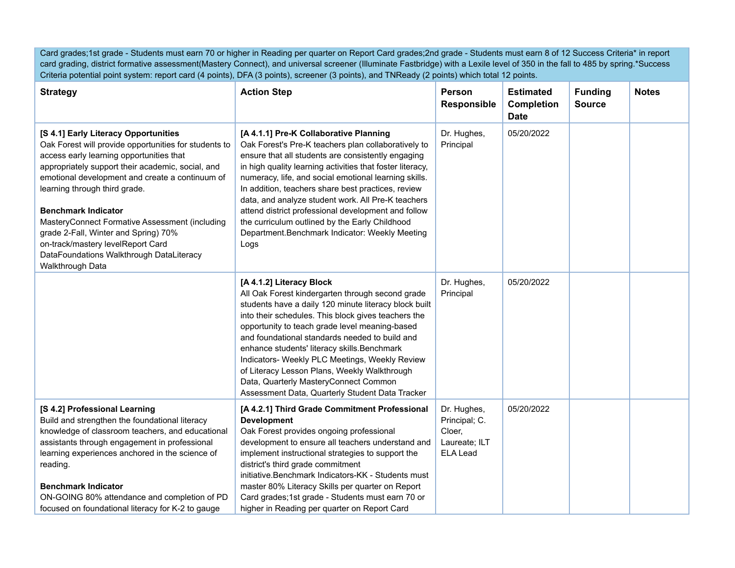Card grades;1st grade - Students must earn 70 or higher in Reading per quarter on Report Card grades;2nd grade - Students must earn 8 of 12 Success Criteria\* in report card grading, district formative assessment(Mastery Connect), and universal screener (Illuminate Fastbridge) with a Lexile level of 350 in the fall to 485 by spring.\*Success Criteria potential point system: report card (4 points), DFA (3 points), screener (3 points), and TNReady (2 points) which total 12 points.

| <b>Strategy</b>                                                                                                                                                                                                                                                                                                                                                                                                                                                                                                 | <b>Action Step</b>                                                                                                                                                                                                                                                                                                                                                                                                                                                                                                                                       | Person<br><b>Responsible</b>                                               | <b>Estimated</b><br><b>Completion</b><br><b>Date</b> | <b>Funding</b><br><b>Source</b> | <b>Notes</b> |
|-----------------------------------------------------------------------------------------------------------------------------------------------------------------------------------------------------------------------------------------------------------------------------------------------------------------------------------------------------------------------------------------------------------------------------------------------------------------------------------------------------------------|----------------------------------------------------------------------------------------------------------------------------------------------------------------------------------------------------------------------------------------------------------------------------------------------------------------------------------------------------------------------------------------------------------------------------------------------------------------------------------------------------------------------------------------------------------|----------------------------------------------------------------------------|------------------------------------------------------|---------------------------------|--------------|
| [S 4.1] Early Literacy Opportunities<br>Oak Forest will provide opportunities for students to<br>access early learning opportunities that<br>appropriately support their academic, social, and<br>emotional development and create a continuum of<br>learning through third grade.<br><b>Benchmark Indicator</b><br>MasteryConnect Formative Assessment (including<br>grade 2-Fall, Winter and Spring) 70%<br>on-track/mastery levelReport Card<br>DataFoundations Walkthrough DataLiteracy<br>Walkthrough Data | [A 4.1.1] Pre-K Collaborative Planning<br>Oak Forest's Pre-K teachers plan collaboratively to<br>ensure that all students are consistently engaging<br>in high quality learning activities that foster literacy,<br>numeracy, life, and social emotional learning skills.<br>In addition, teachers share best practices, review<br>data, and analyze student work. All Pre-K teachers<br>attend district professional development and follow<br>the curriculum outlined by the Early Childhood<br>Department.Benchmark Indicator: Weekly Meeting<br>Logs | Dr. Hughes,<br>Principal                                                   | 05/20/2022                                           |                                 |              |
|                                                                                                                                                                                                                                                                                                                                                                                                                                                                                                                 | [A 4.1.2] Literacy Block<br>All Oak Forest kindergarten through second grade<br>students have a daily 120 minute literacy block built<br>into their schedules. This block gives teachers the<br>opportunity to teach grade level meaning-based<br>and foundational standards needed to build and<br>enhance students' literacy skills. Benchmark<br>Indicators- Weekly PLC Meetings, Weekly Review<br>of Literacy Lesson Plans, Weekly Walkthrough<br>Data, Quarterly MasteryConnect Common<br>Assessment Data, Quarterly Student Data Tracker           | Dr. Hughes,<br>Principal                                                   | 05/20/2022                                           |                                 |              |
| [S 4.2] Professional Learning<br>Build and strengthen the foundational literacy<br>knowledge of classroom teachers, and educational<br>assistants through engagement in professional<br>learning experiences anchored in the science of<br>reading.<br><b>Benchmark Indicator</b><br>ON-GOING 80% attendance and completion of PD<br>focused on foundational literacy for K-2 to gauge                                                                                                                          | [A 4.2.1] Third Grade Commitment Professional<br><b>Development</b><br>Oak Forest provides ongoing professional<br>development to ensure all teachers understand and<br>implement instructional strategies to support the<br>district's third grade commitment<br>initiative.Benchmark Indicators-KK - Students must<br>master 80% Literacy Skills per quarter on Report<br>Card grades;1st grade - Students must earn 70 or<br>higher in Reading per quarter on Report Card                                                                             | Dr. Hughes,<br>Principal; C.<br>Cloer.<br>Laureate; ILT<br><b>ELA Lead</b> | 05/20/2022                                           |                                 |              |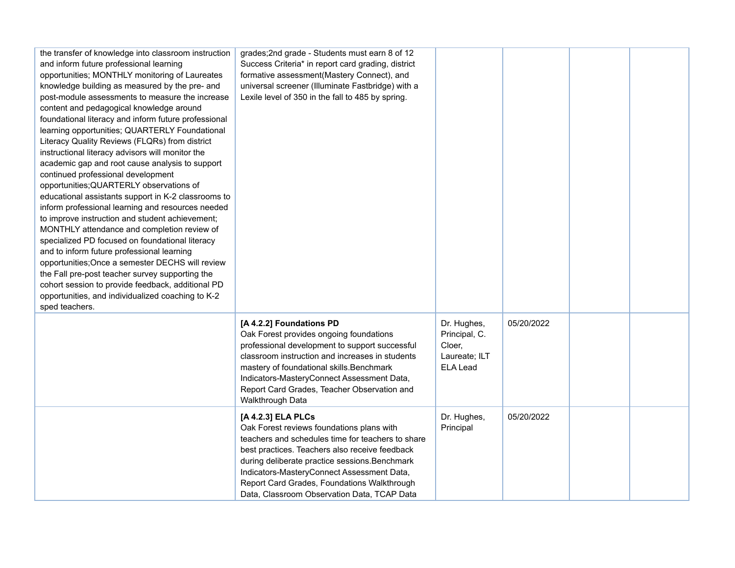| the transfer of knowledge into classroom instruction<br>and inform future professional learning<br>opportunities; MONTHLY monitoring of Laureates<br>knowledge building as measured by the pre- and<br>post-module assessments to measure the increase<br>content and pedagogical knowledge around<br>foundational literacy and inform future professional<br>learning opportunities; QUARTERLY Foundational<br>Literacy Quality Reviews (FLQRs) from district<br>instructional literacy advisors will monitor the<br>academic gap and root cause analysis to support<br>continued professional development<br>opportunities; QUARTERLY observations of<br>educational assistants support in K-2 classrooms to<br>inform professional learning and resources needed<br>to improve instruction and student achievement;<br>MONTHLY attendance and completion review of<br>specialized PD focused on foundational literacy<br>and to inform future professional learning<br>opportunities; Once a semester DECHS will review<br>the Fall pre-post teacher survey supporting the<br>cohort session to provide feedback, additional PD<br>opportunities, and individualized coaching to K-2<br>sped teachers. | grades; 2nd grade - Students must earn 8 of 12<br>Success Criteria* in report card grading, district<br>formative assessment(Mastery Connect), and<br>universal screener (Illuminate Fastbridge) with a<br>Lexile level of 350 in the fall to 485 by spring.                                                                                                         |                                                                            |            |  |
|-----------------------------------------------------------------------------------------------------------------------------------------------------------------------------------------------------------------------------------------------------------------------------------------------------------------------------------------------------------------------------------------------------------------------------------------------------------------------------------------------------------------------------------------------------------------------------------------------------------------------------------------------------------------------------------------------------------------------------------------------------------------------------------------------------------------------------------------------------------------------------------------------------------------------------------------------------------------------------------------------------------------------------------------------------------------------------------------------------------------------------------------------------------------------------------------------------------|----------------------------------------------------------------------------------------------------------------------------------------------------------------------------------------------------------------------------------------------------------------------------------------------------------------------------------------------------------------------|----------------------------------------------------------------------------|------------|--|
|                                                                                                                                                                                                                                                                                                                                                                                                                                                                                                                                                                                                                                                                                                                                                                                                                                                                                                                                                                                                                                                                                                                                                                                                           | [A 4.2.2] Foundations PD<br>Oak Forest provides ongoing foundations<br>professional development to support successful<br>classroom instruction and increases in students<br>mastery of foundational skills. Benchmark<br>Indicators-MasteryConnect Assessment Data,<br>Report Card Grades, Teacher Observation and<br>Walkthrough Data                               | Dr. Hughes,<br>Principal, C.<br>Cloer,<br>Laureate; ILT<br><b>ELA Lead</b> | 05/20/2022 |  |
|                                                                                                                                                                                                                                                                                                                                                                                                                                                                                                                                                                                                                                                                                                                                                                                                                                                                                                                                                                                                                                                                                                                                                                                                           | [A 4.2.3] ELA PLCs<br>Oak Forest reviews foundations plans with<br>teachers and schedules time for teachers to share<br>best practices. Teachers also receive feedback<br>during deliberate practice sessions. Benchmark<br>Indicators-MasteryConnect Assessment Data,<br>Report Card Grades, Foundations Walkthrough<br>Data, Classroom Observation Data, TCAP Data | Dr. Hughes,<br>Principal                                                   | 05/20/2022 |  |